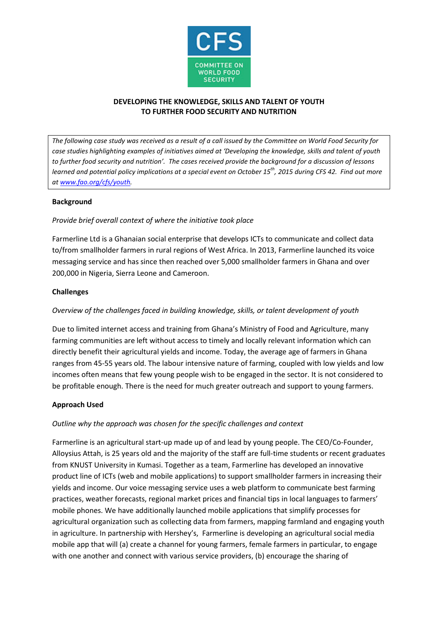

## **DEVELOPING THE KNOWLEDGE, SKILLS AND TALENT OF YOUTH TO FURTHER FOOD SECURITY AND NUTRITION**

*The following case study was received as a result of a call issued by the Committee on World Food Security for case studies highlighting examples of initiatives aimed at 'Developing the knowledge, skills and talent of youth to further food security and nutrition'. The cases received provide the background for a discussion of lessons learned and potential policy implications at a special event on October 15th, 2015 during CFS 42. Find out more a[t www.fao.org/cfs/youth.](http://www.fao.org/cfs/youth)* 

#### **Background**

#### *Provide brief overall context of where the initiative took place*

Farmerline Ltd is a Ghanaian social enterprise that develops ICTs to communicate and collect data to/from smallholder farmers in rural regions of West Africa. In 2013, Farmerline launched its voice messaging service and has since then reached over 5,000 smallholder farmers in Ghana and over 200,000 in Nigeria, Sierra Leone and Cameroon.

#### **Challenges**

# *Overview of the challenges faced in building knowledge, skills, or talent development of youth*

Due to limited internet access and training from Ghana's Ministry of Food and Agriculture, many farming communities are left without access to timely and locally relevant information which can directly benefit their agricultural yields and income. Today, the average age of farmers in Ghana ranges from 45-55 years old. The labour intensive nature of farming, coupled with low yields and low incomes often means that few young people wish to be engaged in the sector. It is not considered to be profitable enough. There is the need for much greater outreach and support to young farmers.

#### **Approach Used**

#### *Outline why the approach was chosen for the specific challenges and context*

Farmerline is an agricultural start-up made up of and lead by young people. The CEO/Co-Founder, Alloysius Attah, is 25 years old and the majority of the staff are full-time students or recent graduates from KNUST University in Kumasi. Together as a team, Farmerline has developed an innovative product line of ICTs (web and mobile applications) to support smallholder farmers in increasing their yields and income. Our voice messaging service uses a web platform to communicate best farming practices, weather forecasts, regional market prices and financial tips in local languages to farmers' mobile phones. We have additionally launched mobile applications that simplify processes for agricultural organization such as collecting data from farmers, mapping farmland and engaging youth in agriculture. In partnership with Hershey's, Farmerline is developing an agricultural social media mobile app that will (a) create a channel for young farmers, female farmers in particular, to engage with one another and connect with various service providers, (b) encourage the sharing of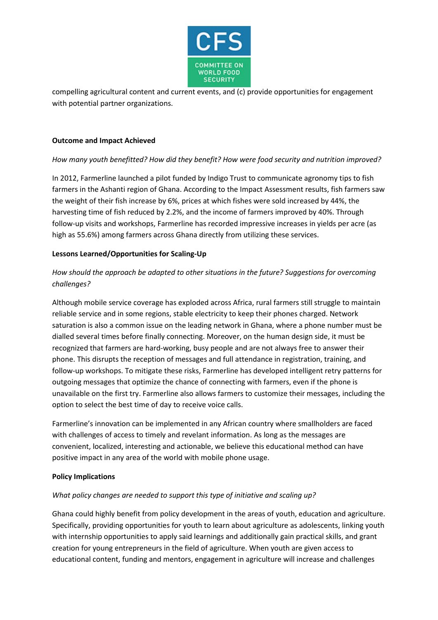

compelling agricultural content and current events, and (c) provide opportunities for engagement with potential partner organizations.

# **Outcome and Impact Achieved**

# *How many youth benefitted? How did they benefit? How were food security and nutrition improved?*

In 2012, Farmerline launched a pilot funded by Indigo Trust to communicate agronomy tips to fish farmers in the Ashanti region of Ghana. According to the Impact Assessment results, fish farmers saw the weight of their fish increase by 6%, prices at which fishes were sold increased by 44%, the harvesting time of fish reduced by 2.2%, and the income of farmers improved by 40%. Through follow-up visits and workshops, Farmerline has recorded impressive increases in yields per acre (as high as 55.6%) among farmers across Ghana directly from utilizing these services.

#### **Lessons Learned/Opportunities for Scaling-Up**

# *How should the approach be adapted to other situations in the future? Suggestions for overcoming challenges?*

Although mobile service coverage has exploded across Africa, rural farmers still struggle to maintain reliable service and in some regions, stable electricity to keep their phones charged. Network saturation is also a common issue on the leading network in Ghana, where a phone number must be dialled several times before finally connecting. Moreover, on the human design side, it must be recognized that farmers are hard-working, busy people and are not always free to answer their phone. This disrupts the reception of messages and full attendance in registration, training, and follow-up workshops. To mitigate these risks, Farmerline has developed intelligent retry patterns for outgoing messages that optimize the chance of connecting with farmers, even if the phone is unavailable on the first try. Farmerline also allows farmers to customize their messages, including the option to select the best time of day to receive voice calls.

Farmerline's innovation can be implemented in any African country where smallholders are faced with challenges of access to timely and revelant information. As long as the messages are convenient, localized, interesting and actionable, we believe this educational method can have positive impact in any area of the world with mobile phone usage.

# **Policy Implications**

# *What policy changes are needed to support this type of initiative and scaling up?*

Ghana could highly benefit from policy development in the areas of youth, education and agriculture. Specifically, providing opportunities for youth to learn about agriculture as adolescents, linking youth with internship opportunities to apply said learnings and additionally gain practical skills, and grant creation for young entrepreneurs in the field of agriculture. When youth are given access to educational content, funding and mentors, engagement in agriculture will increase and challenges